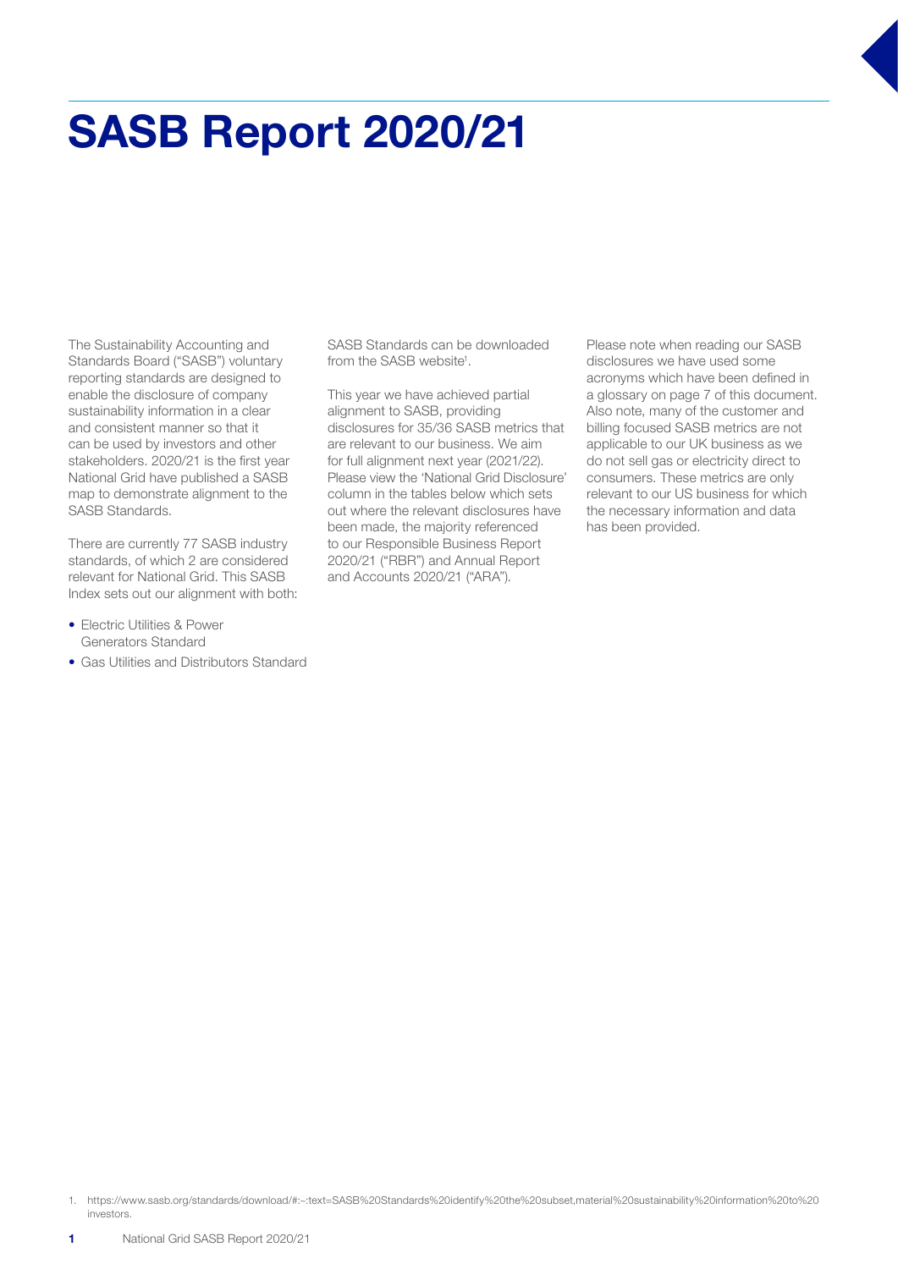# SASB Report 2020/21

The Sustainability Accounting and Standards Board ("SASB") voluntary reporting standards are designed to enable the disclosure of company sustainability information in a clear and consistent manner so that it can be used by investors and other stakeholders. 2020/21 is the first year National Grid have published a SASB map to demonstrate alignment to the SASB Standards.

There are currently 77 SASB industry standards, of which 2 are considered relevant for National Grid. This SASB Index sets out our alignment with both:

- Electric Utilities & Power Generators Standard
- Gas Utilities and Distributors Standard

SASB Standards can be downloaded from the SASB website<sup>1</sup>.

This year we have achieved partial alignment to SASB, providing disclosures for 35/36 SASB metrics that are relevant to our business. We aim for full alignment next year (2021/22). Please view the 'National Grid Disclosure' column in the tables below which sets out where the relevant disclosures have been made, the majority referenced to our Responsible Business Report 2020/21 ("RBR") and Annual Report and Accounts 2020/21 ("ARA").

Please note when reading our SASB disclosures we have used some acronyms which have been defined in a glossary on page 7 of this document. Also note, many of the customer and billing focused SASB metrics are not applicable to our UK business as we do not sell gas or electricity direct to consumers. These metrics are only relevant to our US business for which the necessary information and data has been provided.

1. https://www.sasb.org/standards/download/#:~:text=SASB%20Standards%20identify%20the%20subset,material%20sustainability%20information%20to%20 investors.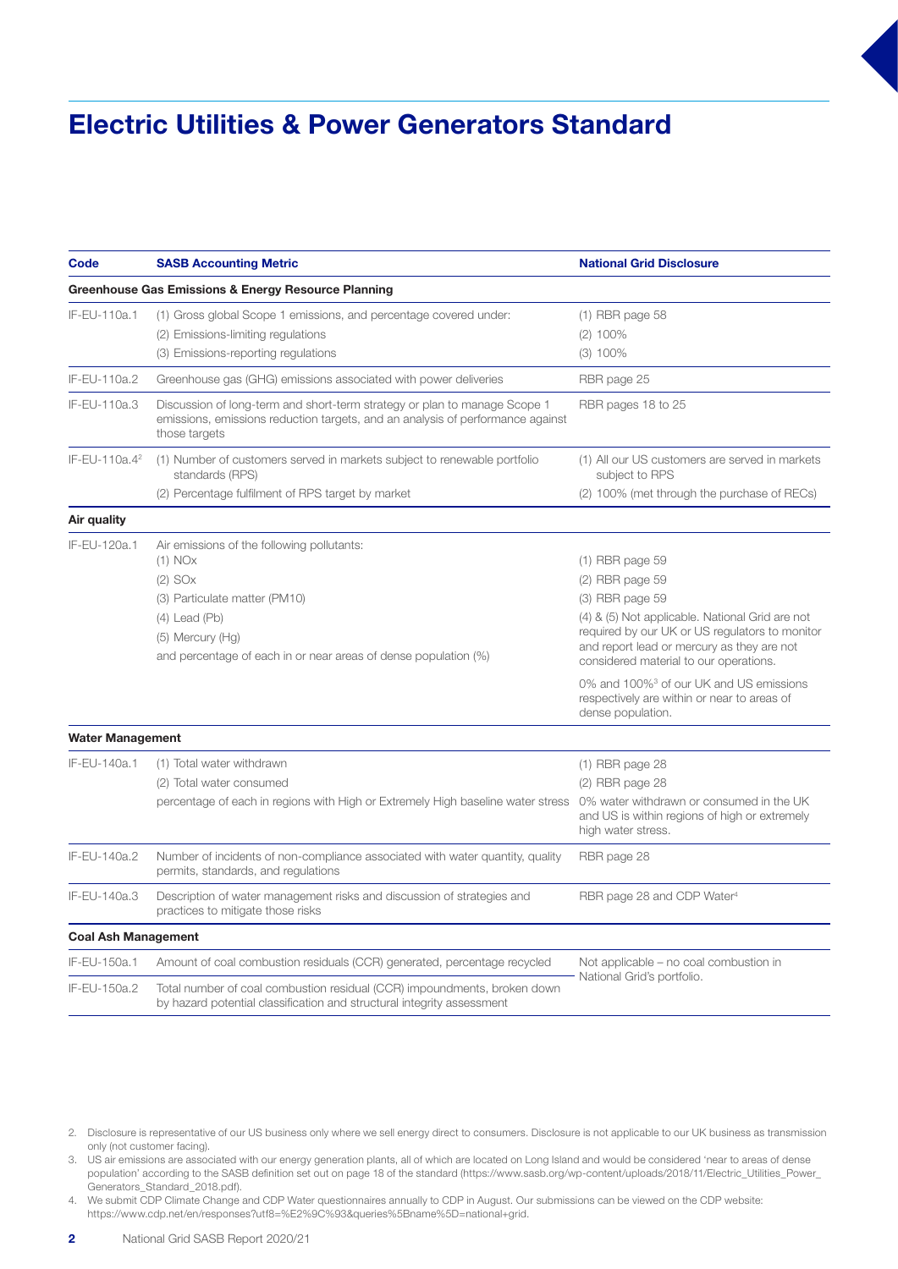### Electric Utilities & Power Generators Standard

| Code                       | <b>SASB Accounting Metric</b>                                                                                                                                                                                                    | <b>National Grid Disclosure</b>                                                                                                                                                                                                                          |
|----------------------------|----------------------------------------------------------------------------------------------------------------------------------------------------------------------------------------------------------------------------------|----------------------------------------------------------------------------------------------------------------------------------------------------------------------------------------------------------------------------------------------------------|
|                            | Greenhouse Gas Emissions & Energy Resource Planning                                                                                                                                                                              |                                                                                                                                                                                                                                                          |
| IF-EU-110a.1               | (1) Gross global Scope 1 emissions, and percentage covered under:<br>(2) Emissions-limiting regulations<br>(3) Emissions-reporting regulations                                                                                   | $(1)$ RBR page 58<br>$(2)$ 100%<br>$(3)$ 100%                                                                                                                                                                                                            |
| IF-EU-110a.2               | Greenhouse gas (GHG) emissions associated with power deliveries                                                                                                                                                                  | RBR page 25                                                                                                                                                                                                                                              |
| IF-EU-110a.3               | Discussion of long-term and short-term strategy or plan to manage Scope 1<br>emissions, emissions reduction targets, and an analysis of performance against<br>those targets                                                     | RBR pages 18 to 25                                                                                                                                                                                                                                       |
| IF-EU-110a.4 <sup>2</sup>  | (1) Number of customers served in markets subject to renewable portfolio<br>standards (RPS)                                                                                                                                      | (1) All our US customers are served in markets<br>subject to RPS                                                                                                                                                                                         |
|                            | (2) Percentage fulfilment of RPS target by market                                                                                                                                                                                | (2) 100% (met through the purchase of RECs)                                                                                                                                                                                                              |
| Air quality                |                                                                                                                                                                                                                                  |                                                                                                                                                                                                                                                          |
| IF-EU-120a.1               | Air emissions of the following pollutants:<br>$(1)$ NO $x$<br>$(2)$ SO <sub>x</sub><br>(3) Particulate matter (PM10)<br>$(4)$ Lead $(Pb)$<br>(5) Mercury (Hg)<br>and percentage of each in or near areas of dense population (%) | $(1)$ RBR page 59<br>$(2)$ RBR page 59<br>$(3)$ RBR page 59<br>(4) & (5) Not applicable. National Grid are not<br>required by our UK or US regulators to monitor<br>and report lead or mercury as they are not<br>considered material to our operations. |
|                            |                                                                                                                                                                                                                                  | 0% and 100% <sup>3</sup> of our UK and US emissions<br>respectively are within or near to areas of<br>dense population.                                                                                                                                  |
| <b>Water Management</b>    |                                                                                                                                                                                                                                  |                                                                                                                                                                                                                                                          |
| IF-EU-140a.1               | (1) Total water withdrawn<br>(2) Total water consumed<br>percentage of each in regions with High or Extremely High baseline water stress                                                                                         | $(1)$ RBR page 28<br>$(2)$ RBR page 28<br>0% water withdrawn or consumed in the UK<br>and US is within regions of high or extremely<br>high water stress.                                                                                                |
| IF-EU-140a.2               | Number of incidents of non-compliance associated with water quantity, quality<br>permits, standards, and regulations                                                                                                             | RBR page 28                                                                                                                                                                                                                                              |
| IF-EU-140a.3               | Description of water management risks and discussion of strategies and<br>practices to mitigate those risks                                                                                                                      | RBR page 28 and CDP Water <sup>4</sup>                                                                                                                                                                                                                   |
| <b>Coal Ash Management</b> |                                                                                                                                                                                                                                  |                                                                                                                                                                                                                                                          |
| IF-EU-150a.1               | Amount of coal combustion residuals (CCR) generated, percentage recycled                                                                                                                                                         | Not applicable – no coal combustion in                                                                                                                                                                                                                   |
| IF-EU-150a.2               | Total number of coal combustion residual (CCR) impoundments, broken down<br>by hazard potential classification and structural integrity assessment                                                                               | National Grid's portfolio.                                                                                                                                                                                                                               |

- 2. Disclosure is representative of our US business only where we sell energy direct to consumers. Disclosure is not applicable to our UK business as transmission only (not customer facing).
- 3. US air emissions are associated with our energy generation plants, all of which are located on Long Island and would be considered 'near to areas of dense population' according to the SASB definition set out on page 18 of the standard (https://www.sasb.org/wp-content/uploads/2018/11/Electric\_Utilities\_Power\_ Generators\_Standard\_2018.pdf).
- 4. We submit CDP Climate Change and CDP Water questionnaires annually to CDP in August. Our submissions can be viewed on the CDP website: https://www.cdp.net/en/responses?utf8=%E2%9C%93&queries%5Bname%5D=national+grid.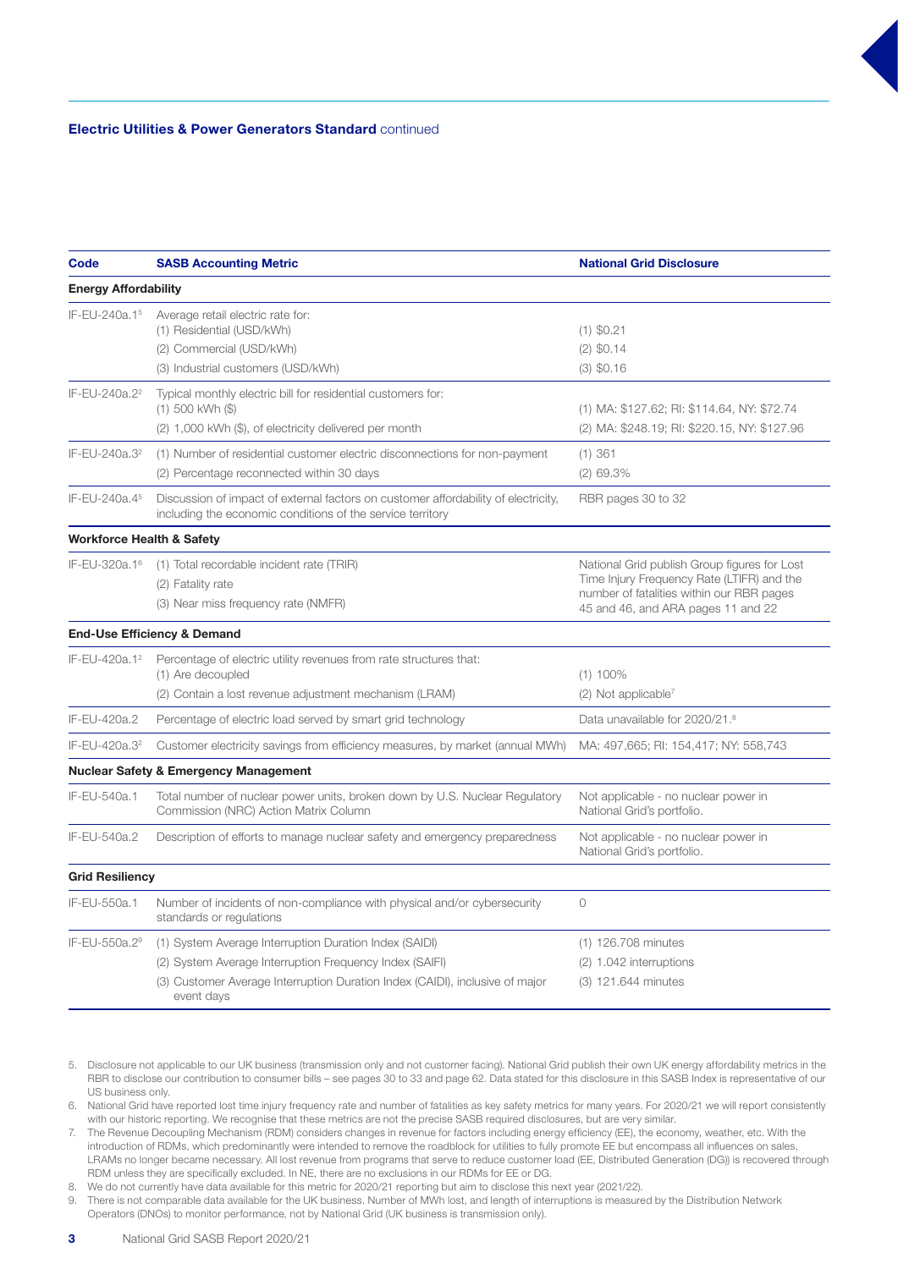#### Electric Utilities & Power Generators Standard continued

| Code                                 | <b>SASB Accounting Metric</b>                                                                                                                                                                                   | <b>National Grid Disclosure</b>                                                                                                                                               |
|--------------------------------------|-----------------------------------------------------------------------------------------------------------------------------------------------------------------------------------------------------------------|-------------------------------------------------------------------------------------------------------------------------------------------------------------------------------|
| <b>Energy Affordability</b>          |                                                                                                                                                                                                                 |                                                                                                                                                                               |
| IF-EU-240a.15                        | Average retail electric rate for:<br>(1) Residential (USD/kWh)<br>(2) Commercial (USD/kWh)<br>(3) Industrial customers (USD/kWh)                                                                                | $(1)$ \$0.21<br>$(2)$ \$0.14<br>$(3)$ \$0.16                                                                                                                                  |
| IF-EU-240a.2 <sup>2</sup>            | Typical monthly electric bill for residential customers for:<br>$(1)$ 500 kWh $($ \$)<br>(2) 1,000 kWh (\$), of electricity delivered per month                                                                 | (1) MA: \$127.62; RI: \$114.64, NY: \$72.74<br>(2) MA: \$248.19; RI: \$220.15, NY: \$127.96                                                                                   |
| IF-EU-240a.3 <sup>2</sup>            | (1) Number of residential customer electric disconnections for non-payment<br>(2) Percentage reconnected within 30 days                                                                                         | $(1)$ 361<br>$(2)$ 69.3%                                                                                                                                                      |
| IF-EU-240a.45                        | Discussion of impact of external factors on customer affordability of electricity,<br>including the economic conditions of the service territory                                                                | RBR pages 30 to 32                                                                                                                                                            |
| <b>Workforce Health &amp; Safety</b> |                                                                                                                                                                                                                 |                                                                                                                                                                               |
| IF-EU-320a.1 <sup>6</sup>            | (1) Total recordable incident rate (TRIR)<br>(2) Fatality rate<br>(3) Near miss frequency rate (NMFR)                                                                                                           | National Grid publish Group figures for Lost<br>Time Injury Frequency Rate (LTIFR) and the<br>number of fatalities within our RBR pages<br>45 and 46, and ARA pages 11 and 22 |
|                                      | <b>End-Use Efficiency &amp; Demand</b>                                                                                                                                                                          |                                                                                                                                                                               |
| IF-EU-420a.1 <sup>2</sup>            | Percentage of electric utility revenues from rate structures that:<br>(1) Are decoupled<br>(2) Contain a lost revenue adjustment mechanism (LRAM)                                                               | $(1)$ 100%<br>(2) Not applicable <sup>7</sup>                                                                                                                                 |
| IF-EU-420a.2                         | Percentage of electric load served by smart grid technology                                                                                                                                                     | Data unavailable for 2020/21.8                                                                                                                                                |
| IF-EU-420a.3 <sup>2</sup>            | Customer electricity savings from efficiency measures, by market (annual MWh)                                                                                                                                   | MA: 497,665; RI: 154,417; NY: 558,743                                                                                                                                         |
|                                      | <b>Nuclear Safety &amp; Emergency Management</b>                                                                                                                                                                |                                                                                                                                                                               |
| IF-EU-540a.1                         | Total number of nuclear power units, broken down by U.S. Nuclear Regulatory<br>Commission (NRC) Action Matrix Column                                                                                            | Not applicable - no nuclear power in<br>National Grid's portfolio.                                                                                                            |
| IF-EU-540a.2                         | Description of efforts to manage nuclear safety and emergency preparedness                                                                                                                                      | Not applicable - no nuclear power in<br>National Grid's portfolio.                                                                                                            |
| <b>Grid Resiliency</b>               |                                                                                                                                                                                                                 |                                                                                                                                                                               |
| IF-EU-550a.1                         | Number of incidents of non-compliance with physical and/or cybersecurity<br>standards or regulations                                                                                                            | $\circ$                                                                                                                                                                       |
| IF-EU-550a.2 <sup>9</sup>            | (1) System Average Interruption Duration Index (SAIDI)<br>(2) System Average Interruption Frequency Index (SAIFI)<br>(3) Customer Average Interruption Duration Index (CAIDI), inclusive of major<br>event days | (1) 126.708 minutes<br>(2) 1.042 interruptions<br>(3) 121.644 minutes                                                                                                         |

5. Disclosure not applicable to our UK business (transmission only and not customer facing). National Grid publish their own UK energy affordability metrics in the RBR to disclose our contribution to consumer bills – see pages 30 to 33 and page 62. Data stated for this disclosure in this SASB Index is representative of our US business only.

6. National Grid have reported lost time injury frequency rate and number of fatalities as key safety metrics for many years. For 2020/21 we will report consistently with our historic reporting. We recognise that these metrics are not the precise SASB required disclosures, but are very similar.

7. The Revenue Decoupling Mechanism (RDM) considers changes in revenue for factors including energy efficiency (EE), the economy, weather, etc. With the introduction of RDMs, which predominantly were intended to remove the roadblock for utilities to fully promote EE but encompass all influences on sales, LRAMs no longer became necessary. All lost revenue from programs that serve to reduce customer load (EE, Distributed Generation (DG)) is recovered through RDM unless they are specifically excluded. In NE, there are no exclusions in our RDMs for EE or DG.

8. We do not currently have data available for this metric for 2020/21 reporting but aim to disclose this next year (2021/22).

9. There is not comparable data available for the UK business. Number of MWh lost, and length of interruptions is measured by the Distribution Network Operators (DNOs) to monitor performance, not by National Grid (UK business is transmission only).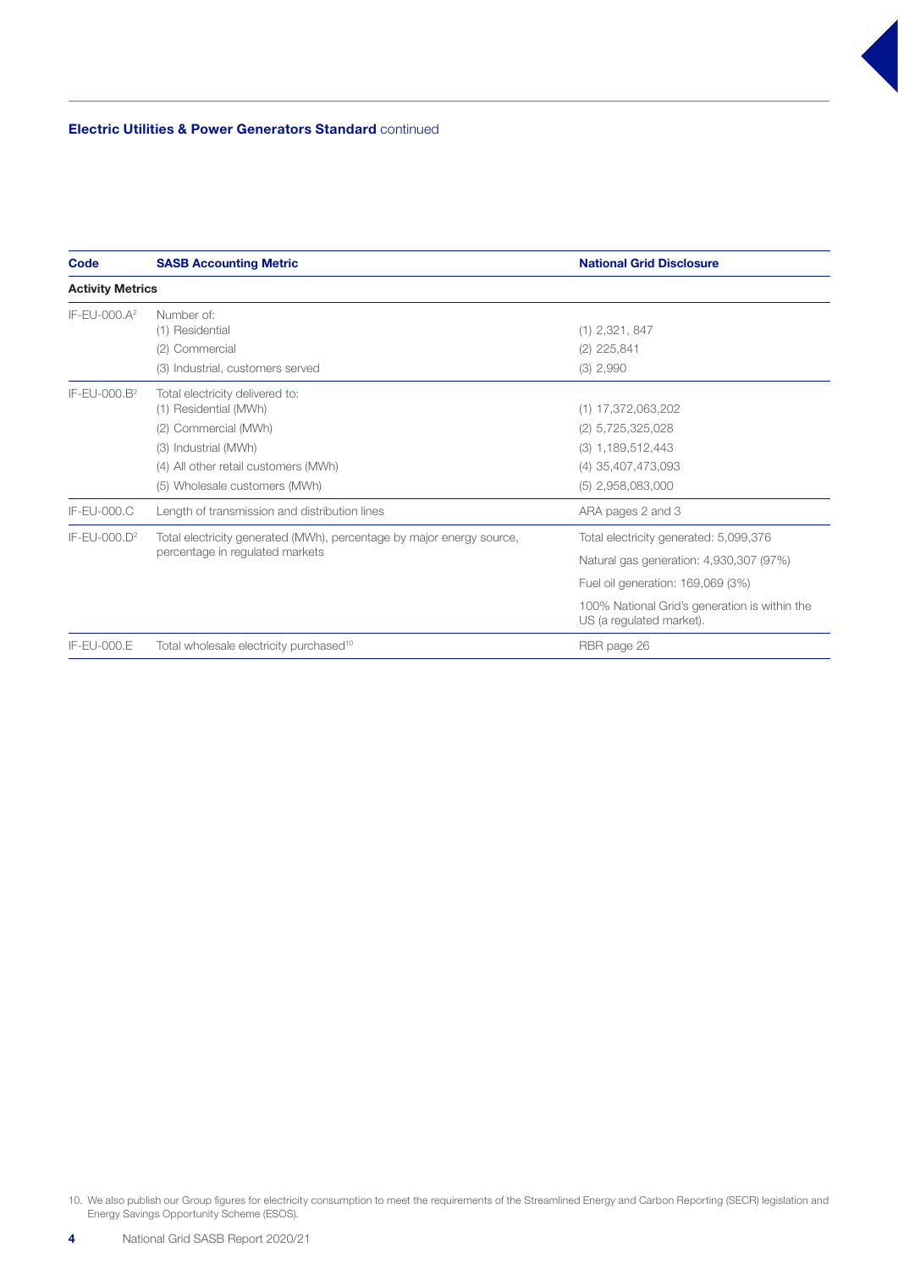| Code                     | <b>SASB Accounting Metric</b>                                                                            | <b>National Grid Disclosure</b>                                           |
|--------------------------|----------------------------------------------------------------------------------------------------------|---------------------------------------------------------------------------|
| <b>Activity Metrics</b>  |                                                                                                          |                                                                           |
| IF-EU-000.A <sup>2</sup> | Number of:                                                                                               |                                                                           |
|                          | (1) Residential                                                                                          | $(1)$ 2,321, 847                                                          |
|                          | (2) Commercial                                                                                           | $(2)$ 225,841                                                             |
|                          | (3) Industrial, customers served                                                                         | $(3)$ 2,990                                                               |
| IF-EU-000.B <sup>2</sup> | Total electricity delivered to:                                                                          |                                                                           |
|                          | (1) Residential (MWh)                                                                                    | $(1)$ 17,372,063,202                                                      |
|                          | (2) Commercial (MWh)                                                                                     | $(2)$ 5,725,325,028                                                       |
|                          | (3) Industrial (MWh)                                                                                     | $(3)$ 1,189,512,443                                                       |
|                          | (4) All other retail customers (MWh)                                                                     | (4) 35,407,473,093                                                        |
|                          | (5) Wholesale customers (MWh)                                                                            | $(5)$ 2,958,083,000                                                       |
| IF-EU-000.C              | Length of transmission and distribution lines                                                            | ARA pages 2 and 3                                                         |
| $IF-EU-000.D2$           | Total electricity generated (MWh), percentage by major energy source,<br>percentage in regulated markets | Total electricity generated: 5,099,376                                    |
|                          |                                                                                                          | Natural gas generation: 4,930,307 (97%)                                   |
|                          |                                                                                                          | Fuel oil generation: 169,069 (3%)                                         |
|                          |                                                                                                          | 100% National Grid's generation is within the<br>US (a regulated market). |
| IF-EU-000.E              | Total wholesale electricity purchased <sup>10</sup>                                                      | RBR page 26                                                               |

10. We also publish our Group figures for electricity consumption to meet the requirements of the Streamlined Energy and Carbon Reporting (SECR) legislation and Energy Savings Opportunity Scheme (ESOS).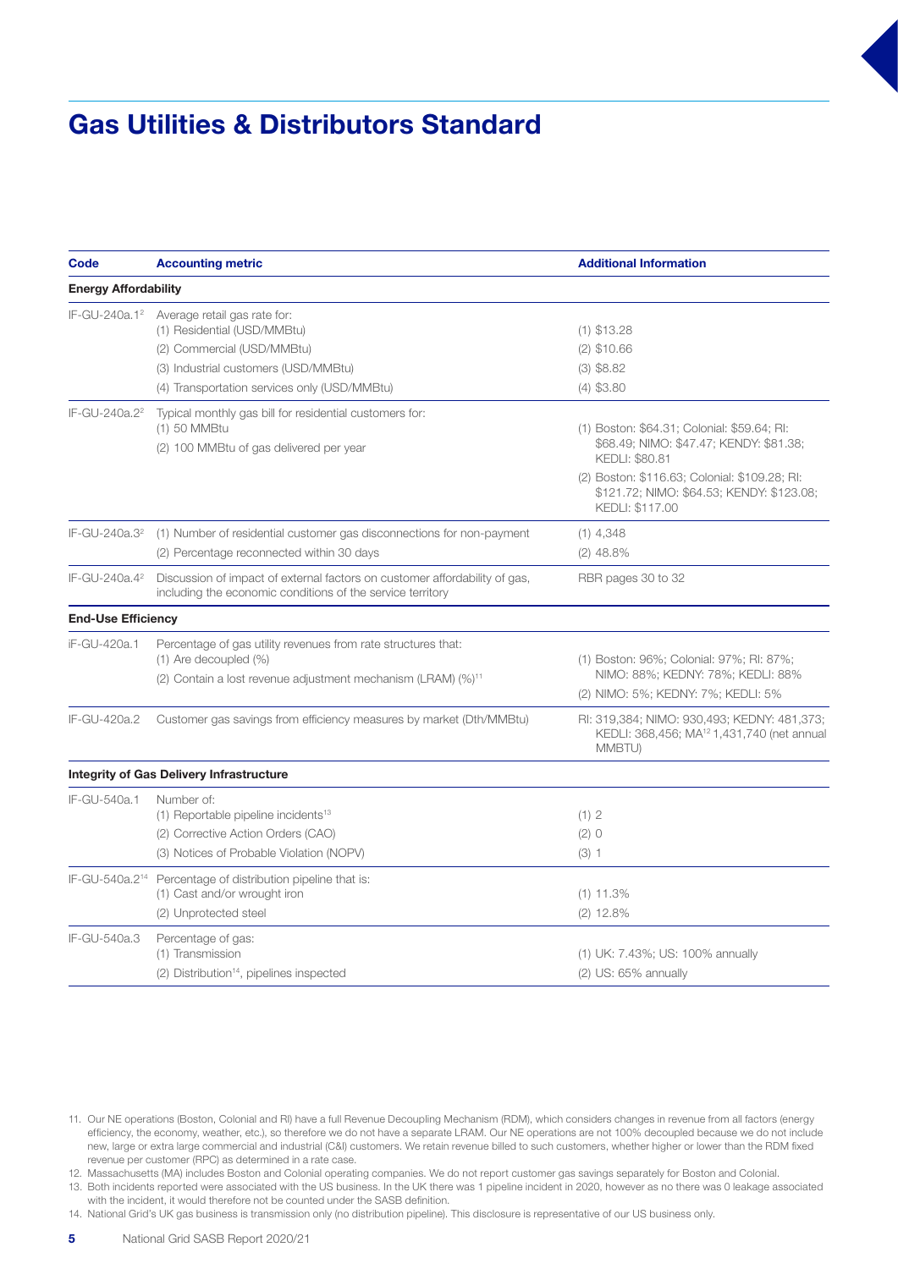### Gas Utilities & Distributors Standard

| Code                        | <b>Accounting metric</b>                                                                                                                                                          | <b>Additional Information</b>                                                                                                                                    |
|-----------------------------|-----------------------------------------------------------------------------------------------------------------------------------------------------------------------------------|------------------------------------------------------------------------------------------------------------------------------------------------------------------|
| <b>Energy Affordability</b> |                                                                                                                                                                                   |                                                                                                                                                                  |
| IF-GU-240a.1 <sup>2</sup>   | Average retail gas rate for:<br>(1) Residential (USD/MMBtu)<br>(2) Commercial (USD/MMBtu)<br>(3) Industrial customers (USD/MMBtu)<br>(4) Transportation services only (USD/MMBtu) | $(1)$ \$13.28<br>$(2)$ \$10.66<br>$(3)$ \$8.82<br>$(4)$ \$3.80                                                                                                   |
| IF-GU-240a.2 <sup>2</sup>   | Typical monthly gas bill for residential customers for:<br>(1) 50 MMBtu<br>(2) 100 MMBtu of gas delivered per year                                                                | (1) Boston: \$64.31; Colonial: \$59.64; RI:<br>\$68.49; NIMO: \$47.47; KENDY: \$81.38;<br><b>KEDLI: \$80.81</b><br>(2) Boston: \$116.63; Colonial: \$109.28; Rl: |
|                             |                                                                                                                                                                                   | \$121.72; NIMO: \$64.53; KENDY: \$123.08;<br><b>KEDLI: \$117.00</b>                                                                                              |
| IF-GU-240a.3 <sup>2</sup>   | (1) Number of residential customer gas disconnections for non-payment<br>(2) Percentage reconnected within 30 days                                                                | $(1)$ 4,348<br>$(2)$ 48.8%                                                                                                                                       |
| IF-GU-240a.4 <sup>2</sup>   | Discussion of impact of external factors on customer affordability of gas,<br>including the economic conditions of the service territory                                          | RBR pages 30 to 32                                                                                                                                               |
| <b>End-Use Efficiency</b>   |                                                                                                                                                                                   |                                                                                                                                                                  |
| iF-GU-420a.1                | Percentage of gas utility revenues from rate structures that:<br>(1) Are decoupled (%)<br>(2) Contain a lost revenue adjustment mechanism (LRAM) (%) <sup>11</sup>                | (1) Boston: 96%; Colonial: 97%; RI: 87%;<br>NIMO: 88%; KEDNY: 78%; KEDLI: 88%<br>(2) NIMO: 5%; KEDNY: 7%; KEDLI: 5%                                              |
| IF-GU-420a.2                | Customer gas savings from efficiency measures by market (Dth/MMBtu)                                                                                                               | RI: 319,384; NIMO: 930,493; KEDNY: 481,373;<br>KEDLI: 368,456; MA <sup>12</sup> 1,431,740 (net annual<br>MMBTU)                                                  |
|                             | <b>Integrity of Gas Delivery Infrastructure</b>                                                                                                                                   |                                                                                                                                                                  |
| IF-GU-540a.1                | Number of:<br>(1) Reportable pipeline incidents <sup>13</sup><br>(2) Corrective Action Orders (CAO)<br>(3) Notices of Probable Violation (NOPV)                                   | (1) 2<br>(2) 0<br>(3) 1                                                                                                                                          |
| IF-GU-540a.214              | Percentage of distribution pipeline that is:<br>(1) Cast and/or wrought iron<br>(2) Unprotected steel                                                                             | $(1)$ 11.3%<br>$(2)$ 12.8%                                                                                                                                       |
| IF-GU-540a.3                | Percentage of gas:<br>(1) Transmission<br>(2) Distribution <sup>14</sup> , pipelines inspected                                                                                    | (1) UK: 7.43%; US: 100% annually<br>$(2)$ US: 65% annually                                                                                                       |

12. Massachusetts (MA) includes Boston and Colonial operating companies. We do not report customer gas savings separately for Boston and Colonial.

13. Both incidents reported were associated with the US business. In the UK there was 1 pipeline incident in 2020, however as no there was 0 leakage associated with the incident, it would therefore not be counted under the SASB definition.

14. National Grid's UK gas business is transmission only (no distribution pipeline). This disclosure is representative of our US business only.

<sup>11.</sup> Our NE operations (Boston, Colonial and RI) have a full Revenue Decoupling Mechanism (RDM), which considers changes in revenue from all factors (energy efficiency, the economy, weather, etc.), so therefore we do not have a separate LRAM. Our NE operations are not 100% decoupled because we do not include new, large or extra large commercial and industrial (C&I) customers. We retain revenue billed to such customers, whether higher or lower than the RDM fixed revenue per customer (RPC) as determined in a rate case.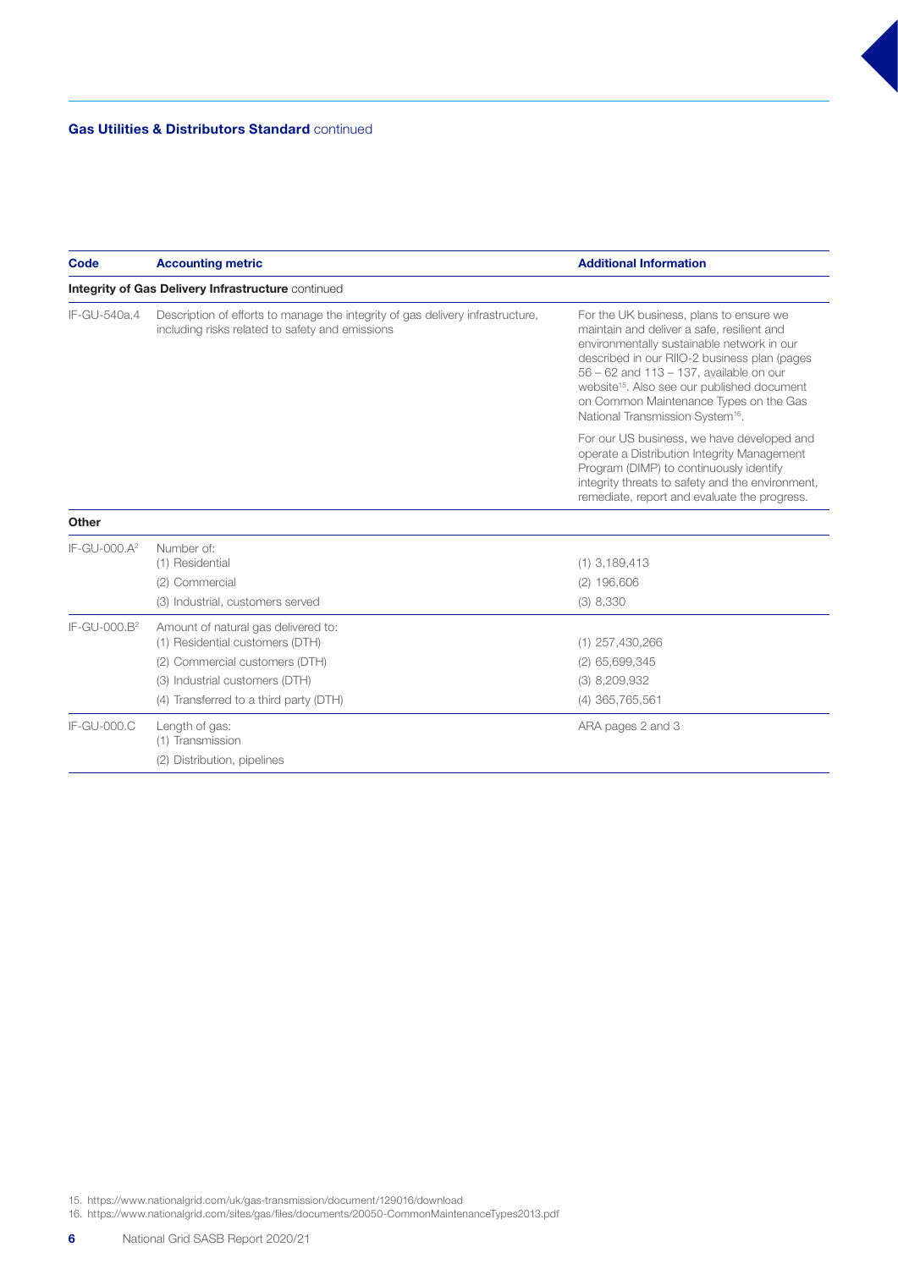| <b>Code</b>              | <b>Accounting metric</b>                                                                                                                                                             | <b>Additional Information</b>                                                                                                                                                                                                                                                                                                                                                       |
|--------------------------|--------------------------------------------------------------------------------------------------------------------------------------------------------------------------------------|-------------------------------------------------------------------------------------------------------------------------------------------------------------------------------------------------------------------------------------------------------------------------------------------------------------------------------------------------------------------------------------|
|                          | Integrity of Gas Delivery Infrastructure continued                                                                                                                                   |                                                                                                                                                                                                                                                                                                                                                                                     |
| IF-GU-540a.4             | Description of efforts to manage the integrity of gas delivery infrastructure,<br>including risks related to safety and emissions                                                    | For the UK business, plans to ensure we<br>maintain and deliver a safe, resilient and<br>environmentally sustainable network in our<br>described in our RIIO-2 business plan (pages<br>56 - 62 and 113 - 137, available on our<br>website <sup>15</sup> . Also see our published document<br>on Common Maintenance Types on the Gas<br>National Transmission System <sup>16</sup> . |
|                          |                                                                                                                                                                                      | For our US business, we have developed and<br>operate a Distribution Integrity Management<br>Program (DIMP) to continuously identify<br>integrity threats to safety and the environment,<br>remediate, report and evaluate the progress.                                                                                                                                            |
| <b>Other</b>             |                                                                                                                                                                                      |                                                                                                                                                                                                                                                                                                                                                                                     |
| IF-GU-000.A <sup>2</sup> | Number of:<br>(1) Residential<br>(2) Commercial<br>(3) Industrial, customers served                                                                                                  | $(1)$ 3,189,413<br>$(2)$ 196,606<br>$(3)$ 8,330                                                                                                                                                                                                                                                                                                                                     |
| IF-GU-000.B <sup>2</sup> | Amount of natural gas delivered to:<br>(1) Residential customers (DTH)<br>(2) Commercial customers (DTH)<br>(3) Industrial customers (DTH)<br>(4) Transferred to a third party (DTH) | $(1)$ 257,430,266<br>$(2)$ 65,699,345<br>$(3)$ 8,209,932<br>$(4)$ 365,765,561                                                                                                                                                                                                                                                                                                       |
| IF-GU-000.C              | Length of gas:<br>(1) Transmission<br>(2) Distribution, pipelines                                                                                                                    | ARA pages 2 and 3                                                                                                                                                                                                                                                                                                                                                                   |

15. https://www.nationalgrid.com/uk/gas-transmission/document/129016/download

16. https://www.nationalgrid.com/sites/gas/files/documents/20050-CommonMaintenanceTypes2013.pdf